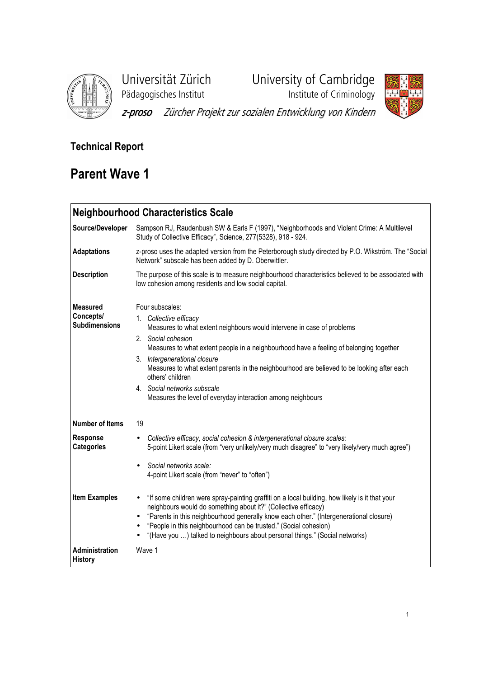

Pädagogisches Institut Institute of Criminology

Universität Zürich University of Cambridge



z-proso Zürcher Projekt zur sozialen Entwicklung von Kindern

# Technical Report

# Parent Wave 1

## Neighbourhood Characteristics Scale Source/Developer Sampson RJ, Raudenbush SW & Earls F (1997), "Neighborhoods and Violent Crime: A Multilevel Study of Collective Efficacy", Science, 277(5328), 918 - 924. Adaptations z-proso uses the adapted version from the Peterborough study directed by P.O. Wikström. The "Social" Network" subscale has been added by D. Oberwittler. Description The purpose of this scale is to measure neighbourhood characteristics believed to be associated with low cohesion among residents and low social capital. Measured Concepts/ Subdimensions Four subscales: 1. Collective efficacy Measures to what extent neighbours would intervene in case of problems 2. Social cohesion Measures to what extent people in a neighbourhood have a feeling of belonging together 3. Intergenerational closure Measures to what extent parents in the neighbourhood are believed to be looking after each others' children 4. Social networks subscale Measures the level of everyday interaction among neighbours Number of Items 19 Response **Categories** • Collective efficacy, social cohesion & intergenerational closure scales: 5-point Likert scale (from "very unlikely/very much disagree" to "very likely/very much agree") • Social networks scale: 4-point Likert scale (from "never" to "often") Item Examples • "If some children were spray-painting graffiti on a local building, how likely is it that your neighbours would do something about it?" (Collective efficacy) • "Parents in this neighbourhood generally know each other." (Intergenerational closure) • "People in this neighbourhood can be trusted." (Social cohesion) • "(Have you …) talked to neighbours about personal things." (Social networks) Administration **History** Wave 1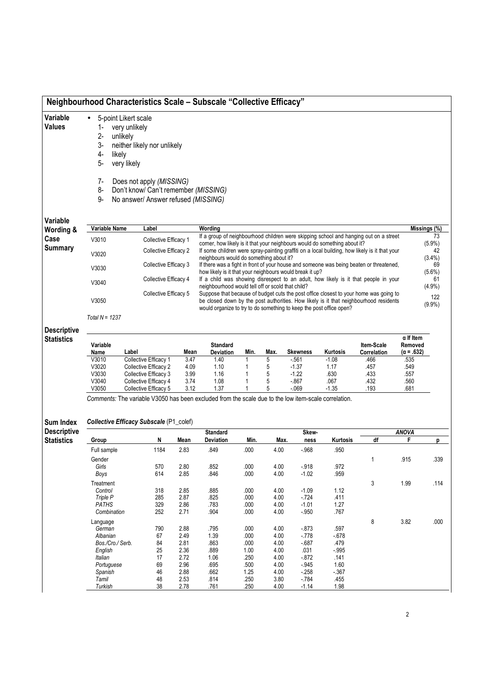| Variable<br><b>Values</b>           | 5-point Likert scale<br>$\bullet$<br>very unlikely<br>$2-$<br>unlikely<br>3-<br>likely<br>4-<br>5-<br>very likely | neither likely nor unlikely                                                                             |                                                                                                                                                                                                                                                       |                              |
|-------------------------------------|-------------------------------------------------------------------------------------------------------------------|---------------------------------------------------------------------------------------------------------|-------------------------------------------------------------------------------------------------------------------------------------------------------------------------------------------------------------------------------------------------------|------------------------------|
|                                     | 7-<br>8-<br>9-                                                                                                    | Does not apply (MISSING)<br>Don't know/ Can't remember (MISSING)<br>No answer/ Answer refused (MISSING) |                                                                                                                                                                                                                                                       |                              |
| Variable                            | Variable Name                                                                                                     | Label                                                                                                   | Wordina                                                                                                                                                                                                                                               |                              |
|                                     |                                                                                                                   |                                                                                                         |                                                                                                                                                                                                                                                       |                              |
|                                     | V3010                                                                                                             | Collective Efficacy 1                                                                                   | If a group of neighbourhood children were skipping school and hanging out on a street                                                                                                                                                                 | Missings (%)<br>73           |
|                                     | V3020                                                                                                             | Collective Efficacy 2                                                                                   | corner, how likely is it that your neighbours would do something about it?<br>If some children were spray-painting graffiti on a local building, how likely is it that your                                                                           | (5.9%)<br>42                 |
|                                     | V3030                                                                                                             | Collective Efficacy 3                                                                                   | neighbours would do something about it?<br>If there was a fight in front of your house and someone was being beaten or threatened,                                                                                                                    | $(3.4\%)$<br>69              |
|                                     | V3040                                                                                                             | Collective Efficacy 4                                                                                   | how likely is it that your neighbours would break it up?<br>If a child was showing disrespect to an adult, how likely is it that people in your<br>neighbourhood would tell off or scold that child?                                                  | $(5.6\%)$<br>61<br>$(4.9\%)$ |
| Wording &<br>Case<br><b>Summary</b> | V3050                                                                                                             | Collective Efficacy 5                                                                                   | Suppose that because of budget cuts the post office closest to your home was going to<br>be closed down by the post authorities. How likely is it that neighbourhood residents<br>would organize to try to do something to keep the post office open? | 122<br>$(9.9\%)$             |

| Variable<br>Name | Label                 | Mean | <b>Standard</b><br><b>Deviation</b> | Min. | Max | <b>Skewness</b> | <b>Kurtosis</b> | <b>Item-Scale</b><br><b>Correlation</b> | $\alpha$ If Item<br>Removed<br>$(\alpha = .632)$ |
|------------------|-----------------------|------|-------------------------------------|------|-----|-----------------|-----------------|-----------------------------------------|--------------------------------------------------|
| V3010            | Collective Efficacy 1 | 3.47 | 1.40                                |      |     | $-561$          | $-1.08$         | .466                                    | .535                                             |
| V3020            | Collective Efficacy 2 | 4.09 | 1.10                                |      |     | $-1.37$         | 1.17            | .457                                    | .549                                             |
| V3030            | Collective Efficacy 3 | 3.99 | 1.16                                |      | 5   | $-1.22$         | 630             | .433                                    | .557                                             |
| V3040            | Collective Efficacy 4 | 3.74 | 1.08                                |      |     | $-867$          | .067            | .432                                    | .560                                             |
| V3050            | Collective Efficacy 5 | 3.12 | 1.37                                |      |     | $-069$          | $-1.35$         | .193                                    | .681                                             |

Comments: The variable V3050 has been excluded from the scale due to the low item-scale correlation.

#### Sum Index Collective Efficacy Subscale (P1\_colef)

Descriptive De<br>Sta

| escriptive |                  |      |      | <b>Standard</b>  |      |      | Skew-    |          |    | ANOVA |      |
|------------|------------------|------|------|------------------|------|------|----------|----------|----|-------|------|
| atistics   | Group            | N    | Mean | <b>Deviation</b> | Min. | Max. | ness     | Kurtosis | df | F     | р    |
|            | Full sample      | 1184 | 2.83 | .849             | .000 | 4.00 | $-.968$  | .950     |    |       |      |
|            | Gender           |      |      |                  |      |      |          |          |    | .915  | .339 |
|            | Girls            | 570  | 2.80 | .852             | .000 | 4.00 | $-0.918$ | .972     |    |       |      |
|            | Boys             | 614  | 2.85 | .846             | .000 | 4.00 | $-1.02$  | .959     |    |       |      |
|            | Treatment        |      |      |                  |      |      |          |          | 3  | 1.99  | .114 |
|            | Control          | 318  | 2.85 | .885             | .000 | 4.00 | $-1.09$  | 1.12     |    |       |      |
|            | Triple P         | 285  | 2.87 | .825             | .000 | 4.00 | $-724$   | .411     |    |       |      |
|            | <b>PATHS</b>     | 329  | 2.86 | .783             | .000 | 4.00 | $-1.01$  | 1.27     |    |       |      |
|            | Combination      | 252  | 2.71 | .904             | .000 | 4.00 | $-.950$  | .767     |    |       |      |
|            | Language         |      |      |                  |      |      |          |          | 8  | 3.82  | .000 |
|            | German           | 790  | 2.88 | .795             | .000 | 4.00 | $-0.873$ | .597     |    |       |      |
|            | Albanian         | 67   | 2.49 | 1.39             | .000 | 4.00 | $-778$   | $-678$   |    |       |      |
|            | Bos./Cro./ Serb. | 84   | 2.81 | .863             | .000 | 4.00 | $-687$   | .479     |    |       |      |
|            | English          | 25   | 2.36 | .889             | 1.00 | 4.00 | .031     | $-.995$  |    |       |      |
|            | Italian          | 17   | 2.72 | 1.06             | .250 | 4.00 | $-0.872$ | .141     |    |       |      |
|            | Portuguese       | 69   | 2.96 | .695             | .500 | 4.00 | $-.945$  | 1.60     |    |       |      |
|            | Spanish          | 46   | 2.88 | .662             | 1.25 | 4.00 | $-258$   | $-367$   |    |       |      |
|            | Tamil            | 48   | 2.53 | .814             | .250 | 3.80 | $-784$   | .455     |    |       |      |
|            | Turkish          | 38   | 2.78 | .761             | .250 | 4.00 | $-1.14$  | 1.98     |    |       |      |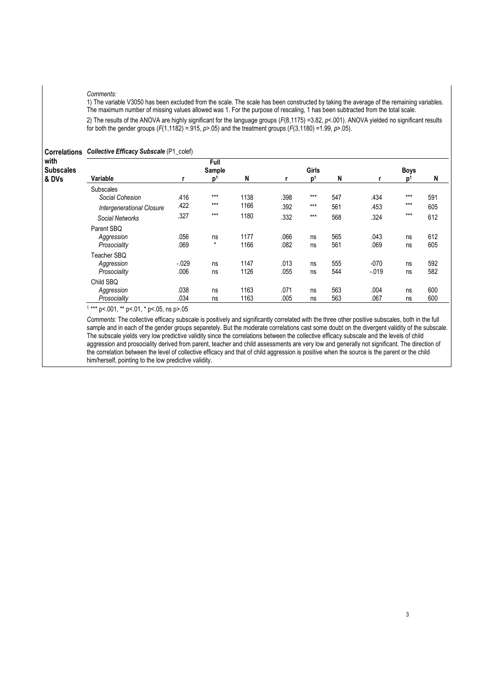#### Comments:

1) The variable V3050 has been excluded from the scale. The scale has been constructed by taking the average of the remaining variables. The maximum number of missing values allowed was 1. For the purpose of rescaling, 1 has been subtracted from the total scale.

2) The results of the ANOVA are highly significant for the language groups (F(8,1175) =3.82, p<.001). ANOVA yielded no significant results for both the gender groups  $(F(1,1182) = .915, p > .05)$  and the treatment groups  $(F(3,1180) = 1.99, p > .05)$ .

| <b>Correlations</b>               | <b>Collective Efficacy Subscale (P1_colef)</b>      |                 |                                  |              |              |                         |            |                   |                               |            |
|-----------------------------------|-----------------------------------------------------|-----------------|----------------------------------|--------------|--------------|-------------------------|------------|-------------------|-------------------------------|------------|
| with<br><b>Subscales</b><br>& DVs | Variable                                            |                 | Full<br>Sample<br>p <sup>1</sup> | N            |              | Girls<br>p <sup>1</sup> | N          |                   | <b>Boys</b><br>$\mathbf{D}^1$ | N          |
|                                   |                                                     |                 |                                  |              |              |                         |            |                   |                               |            |
|                                   | <b>Subscales</b><br>Social Cohesion                 | .416<br>.422    | $***$<br>$***$                   | 1138<br>1166 | .398<br>.392 | $***$<br>$***$          | 547<br>561 | .434<br>.453      | $***$<br>$***$                | 591<br>605 |
|                                   | <b>Intergenerational Closure</b><br>Social Networks | .327            | $***$                            | 1180         | .332         | $***$                   | 568        | .324              | $***$                         | 612        |
|                                   | Parent SBQ<br>Aggression<br>Prosociality            | .056<br>.069    | ns<br>$\star$                    | 1177<br>1166 | .066<br>.082 | ns<br>ns                | 565<br>561 | .043<br>.069      | ns<br>ns                      | 612<br>605 |
|                                   | Teacher SBQ<br>Aggression<br>Prosociality           | $-.029$<br>.006 | ns<br>ns                         | 1147<br>1126 | .013<br>.055 | ns<br>ns                | 555<br>544 | $-070$<br>$-.019$ | ns<br>ns                      | 592<br>582 |
|                                   | Child SBQ<br>Aggression<br>Prosociality             | .038<br>.034    | ns<br>ns                         | 1163<br>1163 | .071<br>.005 | ns<br>ns                | 563<br>563 | .004<br>.067      | ns<br>ns                      | 600<br>600 |

1 \*\*\* p<.001, \*\* p<.01, \* p<.05, ns p>.05

Comments: The collective efficacy subscale is positively and significantly correlated with the three other positive subscales, both in the full sample and in each of the gender groups separetely. But the moderate correlations cast some doubt on the divergent validity of the subscale. The subscale yields very low predictive validity since the correlations between the collective efficacy subscale and the levels of child aggression and prosociality derived from parent, teacher and child assessments are very low and generally not significant. The direction of the correlation between the level of collective efficacy and that of child aggression is positive when the source is the parent or the child him/herself, pointing to the low predictive validity.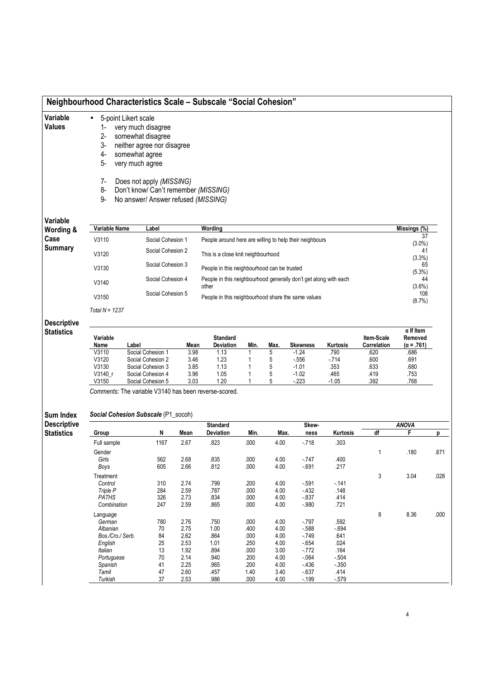|                                         |                                                                   | Neighbourhood Characteristics Scale - Subscale "Social Cohesion"                                                                                                                                                                              |              |                                                                  |              |              |                    |                  |                           |                                           |      |
|-----------------------------------------|-------------------------------------------------------------------|-----------------------------------------------------------------------------------------------------------------------------------------------------------------------------------------------------------------------------------------------|--------------|------------------------------------------------------------------|--------------|--------------|--------------------|------------------|---------------------------|-------------------------------------------|------|
| Variable<br>Values                      | $\bullet$<br>1-<br>$2-$<br>3-<br>4-<br>$5-$<br>$7-$<br>8-<br>$9-$ | 5-point Likert scale<br>very much disagree<br>somewhat disagree<br>neither agree nor disagree<br>somewhat agree<br>very much agree<br>Does not apply (MISSING)<br>Don't know/ Can't remember (MISSING)<br>No answer/ Answer refused (MISSING) |              |                                                                  |              |              |                    |                  |                           |                                           |      |
| Variable                                | <b>Variable Name</b>                                              | Label                                                                                                                                                                                                                                         |              | Wording                                                          |              |              |                    |                  |                           | Missings (%)                              |      |
| Wording &<br>Case                       | V3110                                                             | Social Cohesion 1                                                                                                                                                                                                                             |              | People around here are willing to help their neighbours          |              |              |                    |                  |                           | 37                                        |      |
| <b>Summary</b>                          |                                                                   | Social Cohesion 2                                                                                                                                                                                                                             |              |                                                                  |              |              |                    |                  |                           | $(3.0\%)$<br>41                           |      |
|                                         | V3120                                                             |                                                                                                                                                                                                                                               |              | This is a close knit neighbourhood                               |              |              |                    |                  |                           | (3.3%)                                    |      |
|                                         | V3130                                                             | Social Cohesion 3                                                                                                                                                                                                                             |              | People in this neighbourhood can be trusted                      |              |              |                    |                  |                           | 65<br>$(5.3\%)$                           |      |
|                                         | V3140                                                             | Social Cohesion 4                                                                                                                                                                                                                             |              | People in this neighbourhood generally don't get along with each |              |              |                    |                  |                           | 44                                        |      |
|                                         |                                                                   | Social Cohesion 5                                                                                                                                                                                                                             |              | other                                                            |              |              |                    |                  |                           | $(3.6\%)$<br>108                          |      |
|                                         | V3150                                                             |                                                                                                                                                                                                                                               |              | People in this neighbourhood share the same values               |              |              |                    |                  |                           | (8.7%)                                    |      |
|                                         | Total $N = 1237$                                                  |                                                                                                                                                                                                                                               |              |                                                                  |              |              |                    |                  |                           |                                           |      |
| <b>Descriptive</b><br><b>Statistics</b> | Variable<br>Name                                                  | Label                                                                                                                                                                                                                                         | Mean         | <b>Standard</b><br>Deviation                                     | Min.         | Max.         | Skewness           | Kurtosis         | Item-Scale<br>Correlation | $\alpha$ If Item<br>Removed<br>(α = .761) |      |
|                                         | V3110                                                             | Social Cohesion 1                                                                                                                                                                                                                             | 3.98         | 1.13                                                             | 1            | 5            | $-1.24$            | .790             | .620                      | .686                                      |      |
|                                         | V3120<br>V3130                                                    | Social Cohesion 2<br>Social Cohesion 3                                                                                                                                                                                                        | 3.46<br>3.85 | 1.23<br>1.13                                                     | 1            | 5<br>5       | $-556$<br>$-1.01$  | - 714<br>.353    | .600<br>.633              | .691<br>.680                              |      |
|                                         | V3140_r                                                           | Social Cohesion 4                                                                                                                                                                                                                             | 3.96         | 1.05                                                             | 1            | 5            | $-1.02$            | .465             | .419                      | .753                                      |      |
|                                         | V3150                                                             | Social Cohesion 5                                                                                                                                                                                                                             | 3.03         | 1.20                                                             | 1            | 5            | $-223$             | $-1.05$          | .392                      | .768                                      |      |
|                                         |                                                                   | Comments: The variable V3140 has been reverse-scored.                                                                                                                                                                                         |              |                                                                  |              |              |                    |                  |                           |                                           |      |
|                                         |                                                                   |                                                                                                                                                                                                                                               |              |                                                                  |              |              |                    |                  |                           |                                           |      |
| Sum Index<br><b>Descriptive</b>         |                                                                   | Social Cohesion Subscale (P1_socoh)                                                                                                                                                                                                           |              | <b>Standard</b>                                                  |              |              | Skew-              |                  |                           | <b>ANOVA</b>                              |      |
| <b>Statistics</b>                       | Group                                                             | N                                                                                                                                                                                                                                             | Mean         | Deviation                                                        | Min.         | Max.         | ness               | Kurtosis         | df                        | F                                         | p    |
|                                         | Full sample                                                       | 1167                                                                                                                                                                                                                                          | 2.67         | .823                                                             | .000         | 4.00         | -.718              | .303             |                           |                                           |      |
|                                         | Gender                                                            |                                                                                                                                                                                                                                               |              |                                                                  |              |              |                    |                  | 1                         | .180                                      | .671 |
|                                         | Girls<br>Boys                                                     | 562<br>605                                                                                                                                                                                                                                    | 2.68<br>2.66 | .835<br>.812                                                     | .000<br>.000 | 4.00<br>4.00 | $-747$<br>$-691$   | .400<br>.217     |                           |                                           |      |
|                                         | Treatment                                                         |                                                                                                                                                                                                                                               |              |                                                                  |              |              |                    |                  | 3                         | 3.04                                      | .028 |
|                                         | Control                                                           | 310                                                                                                                                                                                                                                           | 2.74         | .799                                                             | .200         | 4.00         | $-591$             | $-141$           |                           |                                           |      |
|                                         | Triple P<br>PATHS                                                 | 284<br>326                                                                                                                                                                                                                                    | 2.59<br>2.73 | .787<br>.834                                                     | .000<br>.000 | 4.00<br>4.00 | $-432$<br>$-0.837$ | .148<br>.414     |                           |                                           |      |
|                                         | Combination                                                       | 247                                                                                                                                                                                                                                           | 2.59         | .865                                                             | .000         | 4.00         | $-.980$            | .721             |                           |                                           |      |
|                                         | Language                                                          |                                                                                                                                                                                                                                               |              |                                                                  |              |              |                    |                  | 8                         | 8.36                                      | .000 |
|                                         | German<br>Albanian                                                | 780<br>70                                                                                                                                                                                                                                     | 2.76<br>2.75 | .750<br>1.00                                                     | .000<br>.400 | 4.00<br>4.00 | $-797$<br>$-588$   | .592<br>$-694$   |                           |                                           |      |
|                                         | Bos./Cro./ Serb.                                                  | 84                                                                                                                                                                                                                                            | 2.62         | .864                                                             | .000         | 4.00         | $-749$             | .641             |                           |                                           |      |
|                                         | English                                                           | 25                                                                                                                                                                                                                                            | 2.53         | 1.01                                                             | .250         | 4.00         | $-654$             | .024             |                           |                                           |      |
|                                         | Italian                                                           | 13                                                                                                                                                                                                                                            | 1.92         | .894                                                             | .000         | 3.00         | $-772$             | .164             |                           |                                           |      |
|                                         | Portuguese                                                        | 70<br>41                                                                                                                                                                                                                                      | 2.14<br>2.25 | .940                                                             | .200<br>.200 | 4.00<br>4.00 | $-064$<br>$-436$   | $-504$<br>$-350$ |                           |                                           |      |
|                                         | Spanish<br>Tamil                                                  | 47                                                                                                                                                                                                                                            | 2.60         | .965<br>.457                                                     | 1.40         | 3.40         | $-637$             | .414             |                           |                                           |      |
|                                         | Turkish                                                           | 37                                                                                                                                                                                                                                            | 2.53         | .986                                                             | .000         | 4.00         | $-199$             | $-579$           |                           |                                           |      |
|                                         |                                                                   |                                                                                                                                                                                                                                               |              |                                                                  |              |              |                    |                  |                           |                                           |      |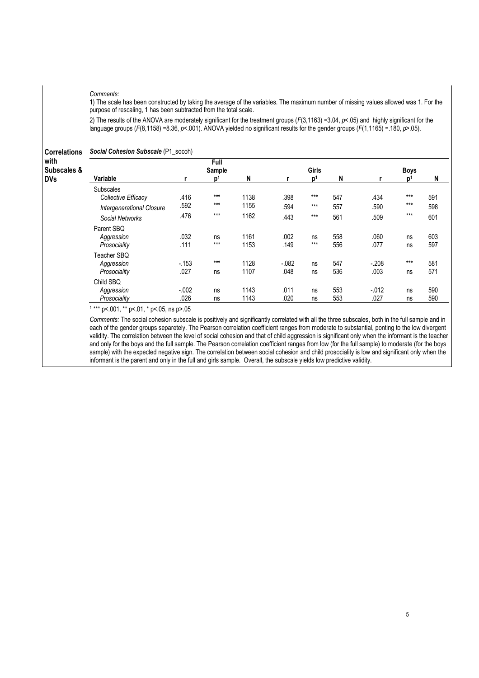#### Comments:

1) The scale has been constructed by taking the average of the variables. The maximum number of missing values allowed was 1. For the purpose of rescaling, 1 has been subtracted from the total scale.

2) The results of the ANOVA are moderately significant for the treatment groups (F(3,1163) =3.04, p<.05) and highly significant for the language groups ( $F(8,1158) = 8.36$ ,  $p < 001$ ). ANOVA yielded no significant results for the gender groups ( $F(1,1165) = .180$ ,  $p > .05$ ).

Correlations Social Cohesion Subscale (P1\_socoh)

| with<br><b>Subscales &amp;</b> |                                  |          | Full<br>Sample |      |          | Girls          |     |          | <b>Boys</b>    |     |
|--------------------------------|----------------------------------|----------|----------------|------|----------|----------------|-----|----------|----------------|-----|
| DVs                            | Variable                         |          | D              | N    |          | p <sup>1</sup> | N   | r        | n <sup>1</sup> | N   |
|                                | <b>Subscales</b>                 |          |                |      |          |                |     |          |                |     |
|                                | Collective Efficacy              | .416     | $***$          | 1138 | .398     | $***$          | 547 | .434     | $***$          | 591 |
|                                | <b>Intergenerational Closure</b> | .592     | $***$          | 1155 | .594     | $***$          | 557 | .590     | $***$          | 598 |
|                                | Social Networks                  | .476     | $***$          | 1162 | .443     | $***$          | 561 | .509     | $***$          | 601 |
|                                | Parent SBQ                       |          |                |      |          |                |     |          |                |     |
|                                | Aggression                       | .032     | ns             | 1161 | .002     | ns             | 558 | .060     | ns             | 603 |
|                                | Prosociality                     | .111     | $***$          | 1153 | .149     | $***$          | 556 | .077     | ns             | 597 |
|                                | Teacher SBQ                      |          |                |      |          |                |     |          |                |     |
|                                | Aggression                       | $-153$   | $***$          | 1128 | $-0.082$ | ns             | 547 | $-.208$  | $***$          | 581 |
|                                | Prosociality                     | .027     | ns             | 1107 | .048     | ns             | 536 | .003     | ns             | 571 |
|                                | Child SBQ                        |          |                |      |          |                |     |          |                |     |
|                                | Aggression                       | $-0.002$ | ns             | 1143 | .011     | ns             | 553 | $-0.012$ | ns             | 590 |
|                                | Prosociality                     | .026     | ns             | 1143 | .020     | ns             | 553 | .027     | ns             | 590 |

1 \*\*\* p<.001, \*\* p<.01, \* p<.05, ns p>.05

Comments: The social cohesion subscale is positively and significantly correlated with all the three subscales, both in the full sample and in each of the gender groups separetely. The Pearson correlation coefficient ranges from moderate to substantial, ponting to the low divergent validity. The correlation between the level of social cohesion and that of child aggression is significant only when the informant is the teacher and only for the boys and the full sample. The Pearson correlation coefficient ranges from low (for the full sample) to moderate (for the boys sample) with the expected negative sign. The correlation between social cohesion and child prosociality is low and significant only when the informant is the parent and only in the full and girls sample. Overall, the subscale yields low predictive validity.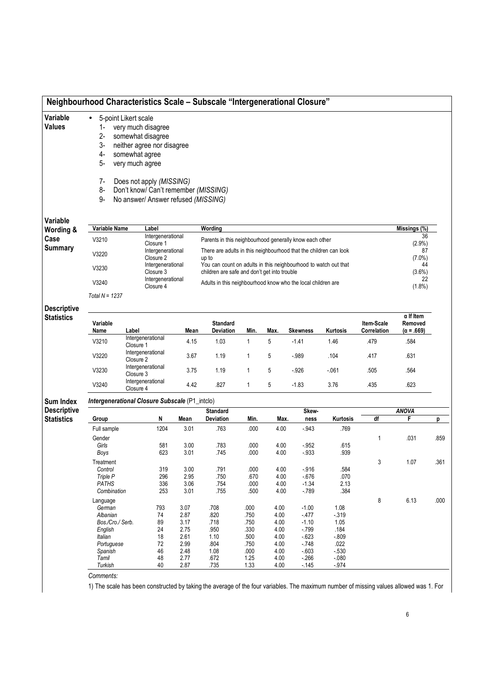|                                         |                                                                                          |                                   |                                                                                                                                                                                  |              | Neighbourhood Characteristics Scale - Subscale "Intergenerational Closure"                                                   |              |              |                   |                  |                           |                                                  |      |
|-----------------------------------------|------------------------------------------------------------------------------------------|-----------------------------------|----------------------------------------------------------------------------------------------------------------------------------------------------------------------------------|--------------|------------------------------------------------------------------------------------------------------------------------------|--------------|--------------|-------------------|------------------|---------------------------|--------------------------------------------------|------|
| Variable<br>Values                      | 5-point Likert scale<br>$\bullet$<br>$1 -$<br>$2-$<br>3-<br>4-<br>5-<br>$7-$<br>8-<br>9- | somewhat agree<br>very much agree | very much disagree<br>somewhat disagree<br>neither agree nor disagree<br>Does not apply (MISSING)<br>Don't know/ Can't remember (MISSING)<br>No answer/ Answer refused (MISSING) |              |                                                                                                                              |              |              |                   |                  |                           |                                                  |      |
| <b>Variable</b>                         |                                                                                          |                                   |                                                                                                                                                                                  |              |                                                                                                                              |              |              |                   |                  |                           |                                                  |      |
| Wording &                               | Variable Name                                                                            |                                   | Label<br>Intergenerational                                                                                                                                                       |              | Wording                                                                                                                      |              |              |                   |                  |                           | Missings (%)<br>36                               |      |
| Case<br><b>Summary</b>                  | V3210<br>V3220                                                                           |                                   | Closure 1<br>Intergenerational                                                                                                                                                   |              | Parents in this neighbourhood generally know each other<br>There are adults in this neighbourhood that the children can look |              |              |                   |                  |                           | $(2.9\%)$<br>87                                  |      |
|                                         | V3230                                                                                    |                                   | Closure 2<br>Intergenerational<br>Closure 3                                                                                                                                      |              | up to<br>You can count on adults in this neighbourhood to watch out that<br>children are safe and don't get into trouble     |              |              |                   |                  |                           | $(7.0\%)$<br>44<br>$(3.6\%)$                     |      |
|                                         | V3240                                                                                    |                                   | Intergenerational                                                                                                                                                                |              | Adults in this neighbourhood know who the local children are                                                                 |              |              |                   |                  |                           | 22                                               |      |
|                                         | Total $N = 1237$                                                                         |                                   | Closure 4                                                                                                                                                                        |              |                                                                                                                              |              |              |                   |                  |                           | (1.8%)                                           |      |
| <b>Descriptive</b>                      |                                                                                          |                                   |                                                                                                                                                                                  |              |                                                                                                                              |              |              |                   |                  |                           |                                                  |      |
| <b>Statistics</b>                       | Variable<br>Name                                                                         | Label                             |                                                                                                                                                                                  | Mean         | <b>Standard</b><br>Deviation                                                                                                 | Min.         | Max.         | <b>Skewness</b>   | Kurtosis         | Item-Scale<br>Correlation | $\alpha$ If Item<br>Removed<br>$(\alpha = .669)$ |      |
|                                         | V3210                                                                                    | Closure 1                         | Intergenerational                                                                                                                                                                | 4.15         | 1.03                                                                                                                         | $\mathbf{1}$ | 5            | $-1.41$           | 1.46             | .479                      | .584                                             |      |
|                                         | V3220                                                                                    | Closure 2                         | Intergenerational                                                                                                                                                                | 3.67         | 1.19                                                                                                                         | $\mathbf{1}$ | 5            | $-989$            | .104             | .417                      | .631                                             |      |
|                                         | V3230                                                                                    | Closure 3                         | Intergenerational                                                                                                                                                                | 3.75         | 1.19                                                                                                                         | $\mathbf{1}$ | 5            | $-926$            | $-061$           | .505                      | .564                                             |      |
|                                         | V3240                                                                                    | Closure 4                         | Intergenerational                                                                                                                                                                | 4.42         | .827                                                                                                                         | $\mathbf{1}$ | 5            | $-1.83$           | 3.76             | .435                      | .623                                             |      |
| <b>Sum Index</b>                        | Intergenerational Closure Subscale (P1_intclo)                                           |                                   |                                                                                                                                                                                  |              |                                                                                                                              |              |              |                   |                  |                           |                                                  |      |
| <b>Descriptive</b><br><b>Statistics</b> | Group                                                                                    |                                   | N                                                                                                                                                                                | Mean         | <b>Standard</b><br>Deviation                                                                                                 | Min.         | Max.         | Skew-<br>ness     | Kurtosis         | df                        | <b>ANOVA</b><br>F                                | p    |
|                                         | Full sample                                                                              |                                   | 1204                                                                                                                                                                             | 3.01         | .763                                                                                                                         | .000         | 4.00         | $-.943$           | .769             |                           |                                                  |      |
|                                         | Gender                                                                                   |                                   |                                                                                                                                                                                  |              |                                                                                                                              |              |              |                   |                  | 1                         | .031                                             | .859 |
|                                         | Girls<br>Boys                                                                            |                                   | 581<br>623                                                                                                                                                                       | 3.00<br>3.01 | .783<br>.745                                                                                                                 | .000<br>.000 | 4.00<br>4.00 | $-952$<br>$-933$  | .615<br>.939     |                           |                                                  |      |
|                                         | Treatment                                                                                |                                   |                                                                                                                                                                                  |              |                                                                                                                              |              |              |                   |                  | 3                         | 1.07                                             | .361 |
|                                         | Control<br>Triple P                                                                      |                                   | 319<br>296                                                                                                                                                                       | 3.00<br>2.95 | .791<br>.750                                                                                                                 | .000<br>.670 | 4.00<br>4.00 | $-.916$<br>$-676$ | .584<br>.070     |                           |                                                  |      |
|                                         | PATHS                                                                                    |                                   | 336                                                                                                                                                                              | 3.06         | .754                                                                                                                         | .000         | 4.00         | $-1.34$           | 2.13             |                           |                                                  |      |
|                                         | Combination                                                                              |                                   | 253                                                                                                                                                                              | 3.01         | .755                                                                                                                         | .500         | 4.00         | $-789$            | .384             | 8                         | 6.13                                             | .000 |
|                                         | Language<br>German                                                                       |                                   | 793                                                                                                                                                                              | 3.07         | .708                                                                                                                         | .000         | 4.00         | $-1.00$           | 1.08             |                           |                                                  |      |
|                                         | Albanian<br>Bos./Cro./ Serb.                                                             |                                   | 74<br>89                                                                                                                                                                         | 2.87<br>3.17 | .820<br>.718                                                                                                                 | .750<br>.750 | 4.00<br>4.00 | $-477$<br>$-1.10$ | $-319$<br>1.05   |                           |                                                  |      |
|                                         | English                                                                                  |                                   | 24                                                                                                                                                                               | 2.75         | .950                                                                                                                         | .330         | 4.00         | $-799$            | .184             |                           |                                                  |      |
|                                         | Italian                                                                                  |                                   | 18                                                                                                                                                                               | 2.61         | 1.10                                                                                                                         | .500         | 4.00         | $-623$            | $-0.809$         |                           |                                                  |      |
|                                         | Portuguese<br>Spanish                                                                    |                                   | 72<br>46                                                                                                                                                                         | 2.99<br>2.48 | .804<br>1.08                                                                                                                 | .750<br>.000 | 4.00<br>4.00 | $-748$<br>$-603$  | .022<br>$-530$   |                           |                                                  |      |
|                                         | Tamil<br>Turkish                                                                         |                                   | 48<br>40                                                                                                                                                                         | 2.77<br>2.87 | .672<br>.735                                                                                                                 | 1.25<br>1.33 | 4.00<br>4.00 | $-266$<br>$-145$  | $-080$<br>$-974$ |                           |                                                  |      |

Comments:

1) The scale has been constructed by taking the average of the four variables. The maximum number of missing values allowed was 1. For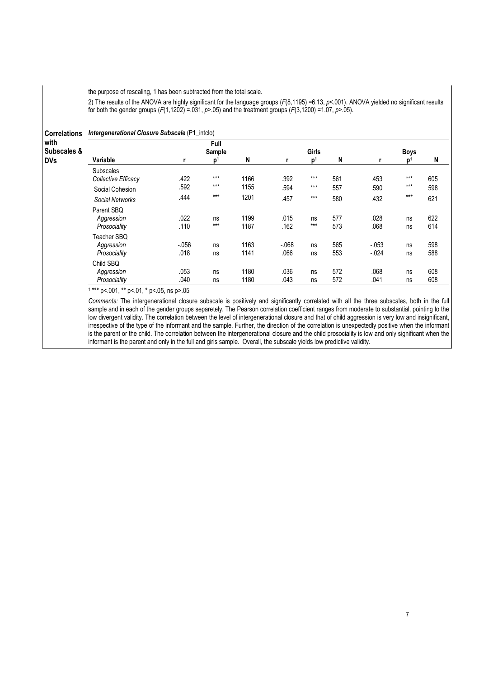the purpose of rescaling, 1 has been subtracted from the total scale.

2) The results of the ANOVA are highly significant for the language groups (F(8,1195) =6.13, p<.001). ANOVA yielded no significant results for both the gender groups ( $F(1,1202) = 0.031$ ,  $p > 0.05$ ) and the treatment groups ( $F(3,1200) = 1.07$ ,  $p > 0.05$ ).

| <b>Correlations</b> Intergenerational Closure Subscale (P1_intclo) |  |
|--------------------------------------------------------------------|--|
|                                                                    |  |

| with<br>Subscales & |                                           |                 | Full<br>Sample |              |                | Girls          |            |                      | <b>Boys</b>    |            |
|---------------------|-------------------------------------------|-----------------|----------------|--------------|----------------|----------------|------------|----------------------|----------------|------------|
| DVs                 | Variable                                  | r               | p <sup>1</sup> | N            |                | p <sup>1</sup> | N          |                      | $\mathsf{D}^1$ | N          |
|                     | <b>Subscales</b><br>Collective Efficacy   | .422            | $***$          | 1166         | .392           | $***$          | 561        | .453                 | $***$          | 605        |
|                     | Social Cohesion                           | .592            | $***$          | 1155         | .594           | $***$          | 557        | .590                 | $***$          | 598        |
|                     | Social Networks                           | .444            | $***$          | 1201         | .457           | $***$          | 580        | .432                 | $***$          | 621        |
|                     | Parent SBO<br>Aggression<br>Prosociality  | .022<br>.110    | ns<br>$***$    | 1199<br>1187 | .015<br>.162   | ns<br>$***$    | 577<br>573 | .028<br>.068         | ns<br>ns       | 622<br>614 |
|                     | Teacher SBO<br>Aggression<br>Prosociality | $-.056$<br>.018 | ns<br>ns       | 1163<br>1141 | $-068$<br>.066 | ns<br>ns       | 565<br>553 | $-0.053$<br>$-0.024$ | ns<br>ns       | 598<br>588 |
|                     | Child SBQ<br>Aggression<br>Prosociality   | .053<br>.040    | ns<br>ns       | 1180<br>1180 | .036<br>.043   | ns<br>ns       | 572<br>572 | .068<br>.041         | ns<br>ns       | 608<br>608 |

1 \*\*\* p<.001, \*\* p<.01, \* p<.05, ns p>.05

Comments: The intergenerational closure subscale is positively and significantly correlated with all the three subscales, both in the full sample and in each of the gender groups separetely. The Pearson correlation coefficient ranges from moderate to substantial, pointing to the low divergent validity. The correlation between the level of intergenerational closure and that of child aggression is very low and insignificant, irrespective of the type of the informant and the sample. Further, the direction of the correlation is unexpectedly positive when the informant is the parent or the child. The correlation between the intergenerational closure and the child prosociality is low and only significant when the informant is the parent and only in the full and girls sample. Overall, the subscale yields low predictive validity.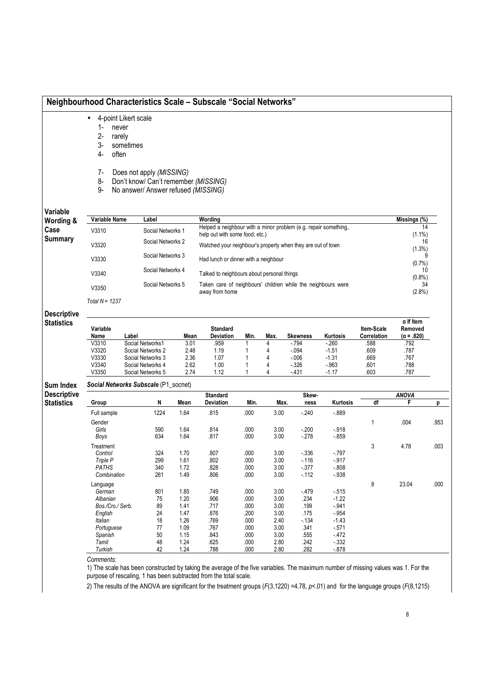# Neighbourhood Characteristics Scale – Subscale "Social Networks"

- 4-point Likert scale
	- 1- never
	- 2- rarely
	- 3- sometimes
	- 4- often
	- 7- Does not apply (MISSING)
	- 8- Don't know/ Can't remember (MISSING)
	- 9- No answer/ Answer refused (MISSING)

Variable

| Wording &      | Variable Name    | Label             | Wording                                                                                           | Missings (%)    |
|----------------|------------------|-------------------|---------------------------------------------------------------------------------------------------|-----------------|
| Case           | V3310            | Social Networks 1 | Helped a neighbour with a minor problem (e.g. repair something,<br>help out with some food, etc.) | 14<br>$(1.1\%)$ |
| <b>Summary</b> | V3320            | Social Networks 2 | Watched your neighbour's property when they are out of town                                       | 16<br>$(1.3\%)$ |
|                | V3330            | Social Networks 3 | Had lunch or dinner with a neighbour                                                              | $(0.7\%)$       |
|                | V3340            | Social Networks 4 | Talked to neighbours about personal things                                                        | 10<br>$(0.8\%)$ |
|                | V3350            | Social Networks 5 | Taken care of neighbours' children while the neighbours were<br>away from home                    | 34<br>$(2.8\%)$ |
|                | Total $N = 1237$ |                   |                                                                                                   |                 |

## **Descriptive Statistics**

| Variable<br>Name | _abel             | Mean | <b>Standard</b><br><b>Deviation</b> | Min. | Max. | Skewness | Kurtosis | ltem-Scale<br>Correlation | $\alpha$ If Item<br>Removed<br>$(\alpha = .820)$ |
|------------------|-------------------|------|-------------------------------------|------|------|----------|----------|---------------------------|--------------------------------------------------|
| V3310            | Social Networks1  | 3.01 | 959                                 |      |      | $-794$   | $-260$   | .588                      | .792                                             |
| V3320            | Social Networks 2 | 2.48 | 1.19                                |      |      | $-0.94$  | $-1.51$  | .609                      | .787                                             |
| V3330            | Social Networks 3 | 2.36 | 1.07                                |      |      | $-006$   | $-1.31$  | .669                      | .767                                             |
| V3340            | Social Networks 4 | 2.62 | 1.00                                |      |      | $-326$   | $-.963$  | .601                      | .788                                             |
| V3350            | Social Networks 5 | 2.74 | 1.12                                |      |      | $-431$   | $-1.17$  | .603                      | .787                                             |

### Sum Index Social Networks Subscale (P1\_socnet)

| <b>Descriptive</b> |
|--------------------|
| <b>Statistics</b>  |

| escriptive |                  |      | <b>Standard</b> |           |      |      | Skew-  |          | <b>ANOVA</b> |       |      |  |
|------------|------------------|------|-----------------|-----------|------|------|--------|----------|--------------|-------|------|--|
| tatistics  | <b>Group</b>     | N    | Mean            | Deviation | Min. | Max. | ness   | Kurtosis | df           | F     | p    |  |
|            | Full sample      | 1224 | 1.64            | .815      | .000 | 3.00 | $-240$ | $-0.889$ |              |       |      |  |
|            | Gender           |      |                 |           |      |      |        |          |              | .004  | .953 |  |
|            | Girls            | 590  | 1.64            | .814      | .000 | 3.00 | $-200$ | $-.918$  |              |       |      |  |
|            | Boys             | 634  | 1.64            | .817      | .000 | 3.00 | $-278$ | $-0.859$ |              |       |      |  |
|            | Treatment        |      |                 |           |      |      |        |          | 3            | 4.78  | .003 |  |
|            | Control          | 324  | 1.70            | .807      | .000 | 3.00 | $-336$ | $-797$   |              |       |      |  |
|            | Triple P         | 299  | 1.61            | .802      | .000 | 3.00 | $-116$ | $-917$   |              |       |      |  |
|            | PATHS            | 340  | 1.72            | .828      | .000 | 3.00 | $-377$ | $-0.808$ |              |       |      |  |
|            | Combination      | 261  | 1.49            | .806      | .000 | 3.00 | $-112$ | $-.938$  |              |       |      |  |
|            | Language         |      |                 |           |      |      |        |          | 8            | 23.04 | .000 |  |
|            | German           | 801  | 1.85            | .749      | .000 | 3.00 | $-479$ | $-515$   |              |       |      |  |
|            | Albanian         | 75   | 1.20            | .906      | .000 | 3.00 | .234   | $-1.22$  |              |       |      |  |
|            | Bos./Cro./ Serb. | 89   | 1.41            | .717      | .000 | 3.00 | .199   | $-941$   |              |       |      |  |
|            | English          | 24   | 1.47            | .876      | .200 | 3.00 | .175   | $-.954$  |              |       |      |  |
|            | Italian          | 18   | 1.26            | .769      | .000 | 2.40 | $-134$ | $-1.43$  |              |       |      |  |
|            | Portuguese       | 77   | 1.09            | .767      | .000 | 3.00 | .341   | $-571$   |              |       |      |  |
|            | Spanish          | 50   | 1.15            | .843      | .000 | 3.00 | .555   | - 472    |              |       |      |  |
|            | Tamil            | 48   | 1.24            | .625      | .000 | 2.80 | .242   | $-332$   |              |       |      |  |
|            | Turkish          | 42   | 1.24            | .788      | .000 | 2.80 | .282   | $-0.878$ |              |       |      |  |

Comments:

1) The scale has been constructed by taking the average of the five variables. The maximum number of missing values was 1. For the purpose of rescaling, 1 has been subtracted from the total scale.

2) The results of the ANOVA are significant for the treatment groups (F(3,1220) =4.78, p<.01) and for the language groups (F(8,1215)